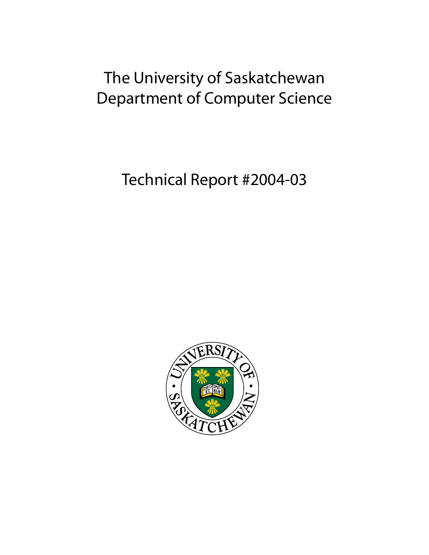# The University of Saskatchewan Department of Computer Science

Technical Report #2004-03

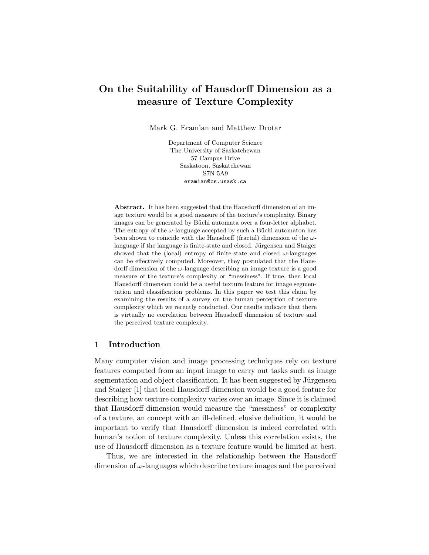# On the Suitability of Hausdorff Dimension as a measure of Texture Complexity

Mark G. Eramian and Matthew Drotar

Department of Computer Science The University of Saskatchewan 57 Campus Drive Saskatoon, Saskatchewan S7N 5A9 eramian@cs.usask.ca

Abstract. It has been suggested that the Hausdorff dimension of an image texture would be a good measure of the texture's complexity. Binary images can be generated by Büchi automata over a four-letter alphabet. The entropy of the  $\omega$ -language accepted by such a Büchi automaton has been shown to coincide with the Hausdorff (fractal) dimension of the  $\omega$ language if the language is finite-state and closed. Jürgensen and Staiger showed that the (local) entropy of finite-state and closed  $\omega$ -languages can be effectively computed. Moreover, they postulated that the Hausdorff dimension of the  $\omega$ -language describing an image texture is a good measure of the texture's complexity or "messiness". If true, then local Hausdorff dimension could be a useful texture feature for image segmentation and classification problems. In this paper we test this claim by examining the results of a survey on the human perception of texture complexity which we recently conducted. Our results indicate that there is virtually no correlation between Hausdorff dimension of texture and the perceived texture complexity.

#### 1 Introduction

Many computer vision and image processing techniques rely on texture features computed from an input image to carry out tasks such as image segmentation and object classification. It has been suggested by Jürgensen and Staiger [1] that local Hausdorff dimension would be a good feature for describing how texture complexity varies over an image. Since it is claimed that Hausdorff dimension would measure the "messiness" or complexity of a texture, an concept with an ill-defined, elusive definition, it would be important to verify that Hausdorff dimension is indeed correlated with human's notion of texture complexity. Unless this correlation exists, the use of Hausdorff dimension as a texture feature would be limited at best.

Thus, we are interested in the relationship between the Hausdorff dimension of  $\omega$ -languages which describe texture images and the perceived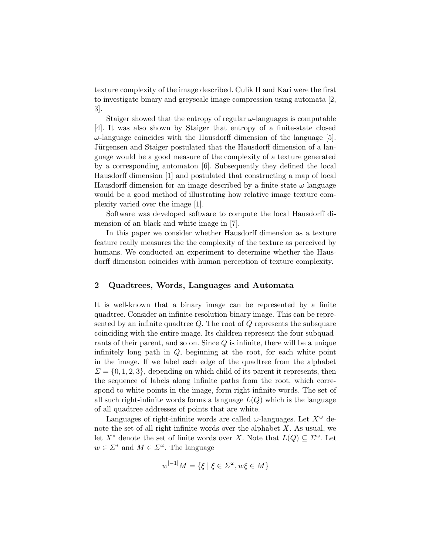texture complexity of the image described. Culik II and Kari were the first to investigate binary and greyscale image compression using automata [2, 3].

Staiger showed that the entropy of regular  $\omega$ -languages is computable [4]. It was also shown by Staiger that entropy of a finite-state closed  $\omega$ -language coincides with the Hausdorff dimension of the language [5]. Jürgensen and Staiger postulated that the Hausdorff dimension of a language would be a good measure of the complexity of a texture generated by a corresponding automaton [6]. Subsequently they defined the local Hausdorff dimension [1] and postulated that constructing a map of local Hausdorff dimension for an image described by a finite-state  $\omega$ -language would be a good method of illustrating how relative image texture complexity varied over the image [1].

Software was developed software to compute the local Hausdorff dimension of an black and white image in [7].

In this paper we consider whether Hausdorff dimension as a texture feature really measures the the complexity of the texture as perceived by humans. We conducted an experiment to determine whether the Hausdorff dimension coincides with human perception of texture complexity.

## 2 Quadtrees, Words, Languages and Automata

It is well-known that a binary image can be represented by a finite quadtree. Consider an infinite-resolution binary image. This can be represented by an infinite quadtree  $Q$ . The root of  $Q$  represents the subsquare coinciding with the entire image. Its children represent the four subquadrants of their parent, and so on. Since Q is infinite, there will be a unique infinitely long path in  $Q$ , beginning at the root, for each white point in the image. If we label each edge of the quadtree from the alphabet  $\Sigma = \{0, 1, 2, 3\},\$  depending on which child of its parent it represents, then the sequence of labels along infinite paths from the root, which correspond to white points in the image, form right-infinite words. The set of all such right-infinite words forms a language  $L(Q)$  which is the language of all quadtree addresses of points that are white.

Languages of right-infinite words are called  $\omega$ -languages. Let  $X^{\omega}$  denote the set of all right-infinite words over the alphabet  $X$ . As usual, we let  $X^*$  denote the set of finite words over X. Note that  $L(Q) \subseteq \Sigma^\omega$ . Let  $w \in \Sigma^*$  and  $M \in \Sigma^\omega$ . The language

$$
w^{[-1]}M = \{ \xi \mid \xi \in \Sigma^{\omega}, w\xi \in M \}
$$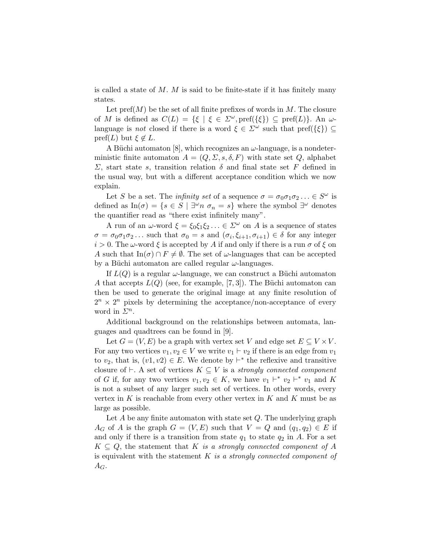is called a state of  $M$ . M is said to be finite-state if it has finitely many states.

Let  $\text{pref}(M)$  be the set of all finite prefixes of words in M. The closure of M is defined as  $C(L) = \{ \xi \mid \xi \in \Sigma^\omega, \text{pref}(\{\xi\}) \subseteq \text{pref}(L) \}.$  An  $\omega$ language is not closed if there is a word  $\xi \in \Sigma^{\omega}$  such that  $\text{pref}(\{\xi\}) \subseteq$ pref(L) but  $\xi \notin L$ .

A Büchi automaton [8], which recognizes an  $\omega$ -language, is a nondeterministic finite automaton  $A = (Q, \Sigma, s, \delta, F)$  with state set Q, alphabet Σ, start state s, transition relation δ and final state set F defined in the usual way, but with a different acceptance condition which we now explain.

Let S be a set. The *infinity set* of a sequence  $\sigma = \sigma_0 \sigma_1 \sigma_2 ... \in S^{\omega}$  is defined as  $\text{In}(\sigma) = \{s \in S \mid \exists^{\omega} n \; \sigma_n = s\}$  where the symbol  $\exists^{\omega}$  denotes the quantifier read as "there exist infinitely many".

A run of an  $\omega$ -word  $\xi = \xi_0 \xi_1 \xi_2 \ldots \in \Sigma^{\omega}$  on A is a sequence of states  $\sigma = \sigma_0 \sigma_1 \sigma_2 \dots$  such that  $\sigma_0 = s$  and  $(\sigma_i, \xi_{i+1}, \sigma_{i+1}) \in \delta$  for any integer  $i > 0$ . The  $\omega$ -word  $\xi$  is accepted by A if and only if there is a run  $\sigma$  of  $\xi$  on A such that  $\text{In}(\sigma) \cap F \neq \emptyset$ . The set of  $\omega$ -languages that can be accepted by a Büchi automaton are called regular  $\omega$ -languages.

If  $L(Q)$  is a regular  $\omega$ -language, we can construct a Büchi automaton A that accepts  $L(Q)$  (see, for example, [7, 3]). The Büchi automaton can then be used to generate the original image at any finite resolution of  $2^{n} \times 2^{n}$  pixels by determining the acceptance/non-acceptance of every word in  $\overline{\mathcal{L}}^n$ .

Additional background on the relationships between automata, languages and quadtrees can be found in [9].

Let  $G = (V, E)$  be a graph with vertex set V and edge set  $E \subseteq V \times V$ . For any two vertices  $v_1, v_2 \in V$  we write  $v_1 \vdash v_2$  if there is an edge from  $v_1$ to  $v_2$ , that is,  $(v_1, v_2) \in E$ . We denote by  $\vdash^*$  the reflexive and transitive closure of  $\vdash$ . A set of vertices  $K \subseteq V$  is a *strongly connected component* of G if, for any two vertices  $v_1, v_2 \in K$ , we have  $v_1 \vdash^* v_2 \vdash^* v_1$  and K is not a subset of any larger such set of vertices. In other words, every vertex in  $K$  is reachable from every other vertex in  $K$  and  $K$  must be as large as possible.

Let  $A$  be any finite automaton with state set  $Q$ . The underlying graph  $A_G$  of A is the graph  $G = (V, E)$  such that  $V = Q$  and  $(q_1, q_2) \in E$  if and only if there is a transition from state  $q_1$  to state  $q_2$  in A. For a set  $K \subseteq Q$ , the statement that K is a strongly connected component of A is equivalent with the statement  $K$  is a strongly connected component of  $A_G.$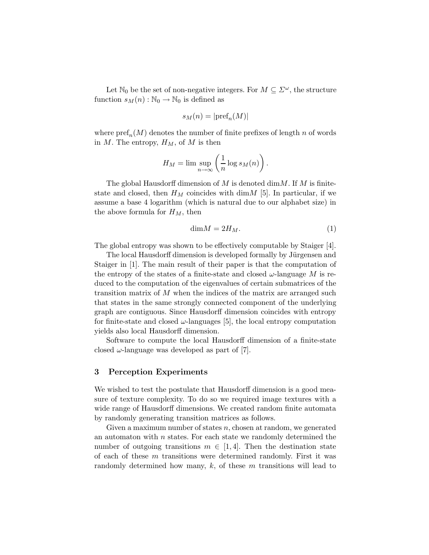Let  $\mathbb{N}_0$  be the set of non-negative integers. For  $M \subseteq \mathbb{Z}^{\omega}$ , the structure function  $s_M(n) : \mathbb{N}_0 \to \mathbb{N}_0$  is defined as

$$
s_M(n) = |\text{pref}_n(M)|
$$

where  $\text{pref}_n(M)$  denotes the number of finite prefixes of length n of words in M. The entropy,  $H_M$ , of M is then

$$
H_M = \limsup_{n \to \infty} \left( \frac{1}{n} \log s_M(n) \right).
$$

The global Hausdorff dimension of  $M$  is denoted dim $M$ . If  $M$  is finitestate and closed, then  $H_M$  coincides with dim $M$  [5]. In particular, if we assume a base 4 logarithm (which is natural due to our alphabet size) in the above formula for  $H_M$ , then

$$
\dim M = 2H_M. \tag{1}
$$

The global entropy was shown to be effectively computable by Staiger [4].

The local Hausdorff dimension is developed formally by Jürgensen and Staiger in [1]. The main result of their paper is that the computation of the entropy of the states of a finite-state and closed  $\omega$ -language M is reduced to the computation of the eigenvalues of certain submatrices of the transition matrix of M when the indices of the matrix are arranged such that states in the same strongly connected component of the underlying graph are contiguous. Since Hausdorff dimension coincides with entropy for finite-state and closed  $\omega$ -languages [5], the local entropy computation yields also local Hausdorff dimension.

Software to compute the local Hausdorff dimension of a finite-state closed  $\omega$ -language was developed as part of [7].

#### 3 Perception Experiments

We wished to test the postulate that Hausdorff dimension is a good measure of texture complexity. To do so we required image textures with a wide range of Hausdorff dimensions. We created random finite automata by randomly generating transition matrices as follows.

Given a maximum number of states  $n$ , chosen at random, we generated an automaton with  $n$  states. For each state we randomly determined the number of outgoing transitions  $m \in [1, 4]$ . Then the destination state of each of these m transitions were determined randomly. First it was randomly determined how many,  $k$ , of these  $m$  transitions will lead to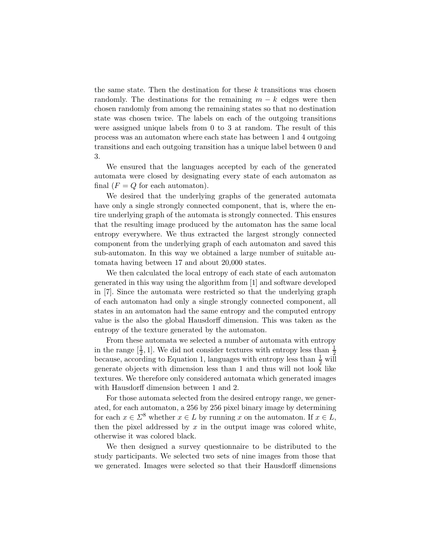the same state. Then the destination for these  $k$  transitions was chosen randomly. The destinations for the remaining  $m - k$  edges were then chosen randomly from among the remaining states so that no destination state was chosen twice. The labels on each of the outgoing transitions were assigned unique labels from 0 to 3 at random. The result of this process was an automaton where each state has between 1 and 4 outgoing transitions and each outgoing transition has a unique label between 0 and 3.

We ensured that the languages accepted by each of the generated automata were closed by designating every state of each automaton as final  $(F = Q)$  for each automaton).

We desired that the underlying graphs of the generated automata have only a single strongly connected component, that is, where the entire underlying graph of the automata is strongly connected. This ensures that the resulting image produced by the automaton has the same local entropy everywhere. We thus extracted the largest strongly connected component from the underlying graph of each automaton and saved this sub-automaton. In this way we obtained a large number of suitable automata having between 17 and about 20,000 states.

We then calculated the local entropy of each state of each automaton generated in this way using the algorithm from [1] and software developed in [7]. Since the automata were restricted so that the underlying graph of each automaton had only a single strongly connected component, all states in an automaton had the same entropy and the computed entropy value is the also the global Hausdorff dimension. This was taken as the entropy of the texture generated by the automaton.

From these automata we selected a number of automata with entropy in the range  $\left[\frac{1}{2}\right]$  $\frac{1}{2}$ , 1]. We did not consider textures with entropy less than  $\frac{1}{2}$ because, according to Equation 1, languages with entropy less than  $\frac{1}{2}$  will generate objects with dimension less than 1 and thus will not look like textures. We therefore only considered automata which generated images with Hausdorff dimension between 1 and 2.

For those automata selected from the desired entropy range, we generated, for each automaton, a 256 by 256 pixel binary image by determining for each  $x \in \Sigma^8$  whether  $x \in L$  by running x on the automaton. If  $x \in L$ , then the pixel addressed by  $x$  in the output image was colored white, otherwise it was colored black.

We then designed a survey questionnaire to be distributed to the study participants. We selected two sets of nine images from those that we generated. Images were selected so that their Hausdorff dimensions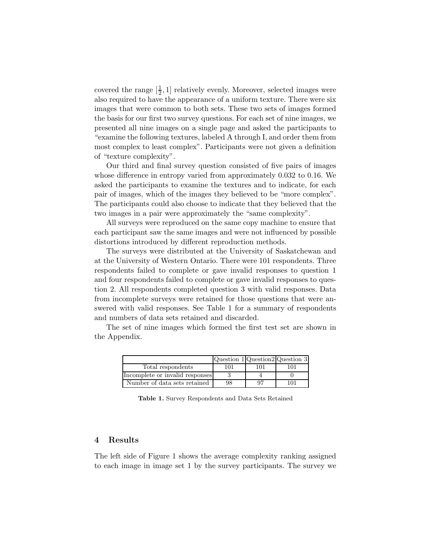covered the range  $\left[\frac{1}{2}\right]$  $\frac{1}{2}$ , 1] relatively evenly. Moreover, selected images were also required to have the appearance of a uniform texture. There were six images that were common to both sets. These two sets of images formed the basis for our first two survey questions. For each set of nine images, we presented all nine images on a single page and asked the participants to "examine the following textures, labeled A through I, and order them from most complex to least complex". Participants were not given a definition of "texture complexity".

Our third and final survey question consisted of five pairs of images whose difference in entropy varied from approximately 0.032 to 0.16. We asked the participants to examine the textures and to indicate, for each pair of images, which of the images they believed to be "more complex". The participants could also choose to indicate that they believed that the two images in a pair were approximately the "same complexity".

All surveys were reproduced on the same copy machine to ensure that each participant saw the same images and were not influenced by possible distortions introduced by different reproduction methods.

The surveys were distributed at the University of Saskatchewan and at the University of Western Ontario. There were 101 respondents. Three respondents failed to complete or gave invalid responses to question 1 and four respondents failed to complete or gave invalid responses to question 2. All respondents completed question 3 with valid responses. Data from incomplete surveys were retained for those questions that were answered with valid responses. See Table 1 for a summary of respondents and numbers of data sets retained and discarded.

The set of nine images which formed the first test set are shown in the Appendix.

|                                 | Question 1 Question 2 Question 3 |     |     |
|---------------------------------|----------------------------------|-----|-----|
| Total respondents               | 101                              | 101 |     |
| Incomplete or invalid responses |                                  |     |     |
| Number of data sets retained    | 98                               |     | 101 |

Table 1. Survey Respondents and Data Sets Retained

### 4 Results

The left side of Figure 1 shows the average complexity ranking assigned to each image in image set 1 by the survey participants. The survey we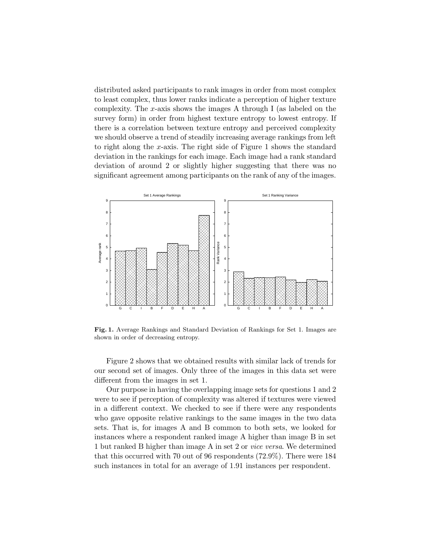distributed asked participants to rank images in order from most complex to least complex, thus lower ranks indicate a perception of higher texture complexity. The x-axis shows the images A through I (as labeled on the survey form) in order from highest texture entropy to lowest entropy. If there is a correlation between texture entropy and perceived complexity we should observe a trend of steadily increasing average rankings from left to right along the x-axis. The right side of Figure 1 shows the standard deviation in the rankings for each image. Each image had a rank standard deviation of around 2 or slightly higher suggesting that there was no significant agreement among participants on the rank of any of the images.



Fig. 1. Average Rankings and Standard Deviation of Rankings for Set 1. Images are shown in order of decreasing entropy.

Figure 2 shows that we obtained results with similar lack of trends for our second set of images. Only three of the images in this data set were different from the images in set 1.

Our purpose in having the overlapping image sets for questions 1 and 2 were to see if perception of complexity was altered if textures were viewed in a different context. We checked to see if there were any respondents who gave opposite relative rankings to the same images in the two data sets. That is, for images A and B common to both sets, we looked for instances where a respondent ranked image A higher than image B in set 1 but ranked B higher than image A in set 2 or vice versa. We determined that this occurred with 70 out of 96 respondents (72.9%). There were 184 such instances in total for an average of 1.91 instances per respondent.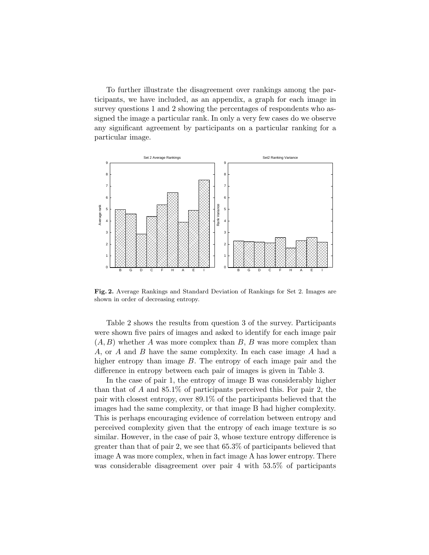To further illustrate the disagreement over rankings among the participants, we have included, as an appendix, a graph for each image in survey questions 1 and 2 showing the percentages of respondents who assigned the image a particular rank. In only a very few cases do we observe any significant agreement by participants on a particular ranking for a particular image.



Fig. 2. Average Rankings and Standard Deviation of Rankings for Set 2. Images are shown in order of decreasing entropy.

Table 2 shows the results from question 3 of the survey. Participants were shown five pairs of images and asked to identify for each image pair  $(A, B)$  whether A was more complex than B, B was more complex than A, or A and B have the same complexity. In each case image A had a higher entropy than image B. The entropy of each image pair and the difference in entropy between each pair of images is given in Table 3.

In the case of pair 1, the entropy of image B was considerably higher than that of A and 85.1% of participants perceived this. For pair 2, the pair with closest entropy, over 89.1% of the participants believed that the images had the same complexity, or that image B had higher complexity. This is perhaps encouraging evidence of correlation between entropy and perceived complexity given that the entropy of each image texture is so similar. However, in the case of pair 3, whose texture entropy difference is greater than that of pair 2, we see that 65.3% of participants believed that image A was more complex, when in fact image A has lower entropy. There was considerable disagreement over pair 4 with 53.5% of participants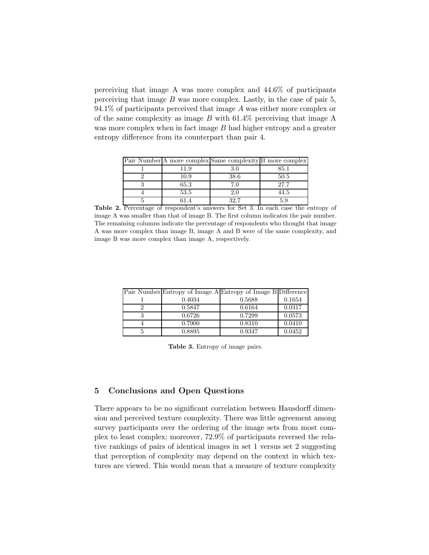perceiving that image A was more complex and 44.6% of participants perceiving that image  $B$  was more complex. Lastly, in the case of pair 5,  $94.1\%$  of participants perceived that image A was either more complex or of the same complexity as image  $B$  with 61.4% perceiving that image A was more complex when in fact image B had higher entropy and a greater entropy difference from its counterpart than pair 4.

|      | Pair Number A more complex Same complexity B more complex |      |
|------|-----------------------------------------------------------|------|
| 11.9 | 3.0                                                       | 85.1 |
| 10.9 | 38.6                                                      | 50.5 |
| 65.3 | 7.0                                                       | 27.7 |
| 53.5 | 2.0                                                       | 44.5 |
|      | 39.7                                                      |      |

Table 2. Percentage of respondent's answers for Set 3. In each case the entropy of image A was smaller than that of image B. The first column indicates the pair number. The remaining columns indicate the percentage of respondents who thought that image A was more complex than image B, image A and B were of the same complexity, and image B was more complex than image A, respectively.

|        | Pair Number Entropy of Image A Entropy of Image B Difference |        |
|--------|--------------------------------------------------------------|--------|
| 0.4034 | 0.5688                                                       | 0.1654 |
| 0.5847 | 0.6164                                                       | 0.0317 |
| 0.6726 | 0.7299                                                       | 0.0573 |
| 0.7900 | 0.8310                                                       | 0.0410 |
| 0.8895 | 0.9347                                                       | 0.0452 |

Table 3. Entropy of image pairs.

## 5 Conclusions and Open Questions

There appears to be no significant correlation between Hausdorff dimension and perceived texture complexity. There was little agreement among survey participants over the ordering of the image sets from most complex to least complex; moreover, 72.9% of participants reversed the relative rankings of pairs of identical images in set 1 versus set 2 suggesting that perception of complexity may depend on the context in which textures are viewed. This would mean that a measure of texture complexity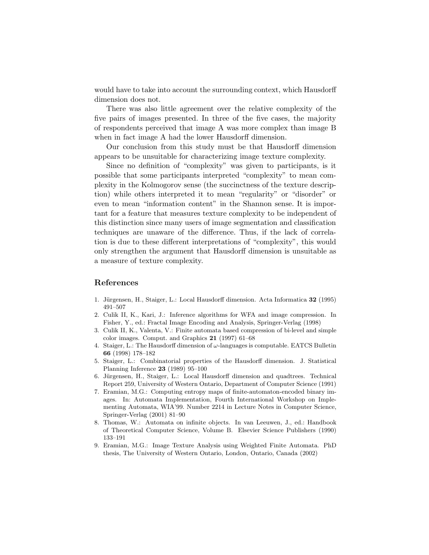would have to take into account the surrounding context, which Hausdorff dimension does not.

There was also little agreement over the relative complexity of the five pairs of images presented. In three of the five cases, the majority of respondents perceived that image A was more complex than image B when in fact image A had the lower Hausdorff dimension.

Our conclusion from this study must be that Hausdorff dimension appears to be unsuitable for characterizing image texture complexity.

Since no definition of "complexity" was given to participants, is it possible that some participants interpreted "complexity" to mean complexity in the Kolmogorov sense (the succinctness of the texture description) while others interpreted it to mean "regularity" or "disorder" or even to mean "information content" in the Shannon sense. It is important for a feature that measures texture complexity to be independent of this distinction since many users of image segmentation and classification techniques are unaware of the difference. Thus, if the lack of correlation is due to these different interpretations of "complexity", this would only strengthen the argument that Hausdorff dimension is unsuitable as a measure of texture complexity.

## References

- 1. Jürgensen, H., Staiger, L.: Local Hausdorff dimension. Acta Informatica 32 (1995) 491–507
- 2. Culik II, K., Kari, J.: Inference algorithms for WFA and image compression. In Fisher, Y., ed.: Fractal Image Encoding and Analysis, Springer-Verlag (1998)
- 3. Culik II, K., Valenta, V.: Finite automata based compression of bi-level and simple color images. Comput. and Graphics 21 (1997) 61–68
- 4. Staiger, L.: The Hausdorff dimension of  $\omega$ -languages is computable. EATCS Bulletin 66 (1998) 178–182
- 5. Staiger, L.: Combinatorial properties of the Hausdorff dimension. J. Statistical Planning Inference 23 (1989) 95–100
- 6. Jürgensen, H., Staiger, L.: Local Hausdorff dimension and quadtrees. Technical Report 259, University of Western Ontario, Department of Computer Science (1991)
- 7. Eramian, M.G.: Computing entropy maps of finite-automaton-encoded binary images. In: Automata Implementation, Fourth International Workshop on Implementing Automata, WIA'99. Number 2214 in Lecture Notes in Computer Science, Springer-Verlag (2001) 81–90
- 8. Thomas, W.: Automata on infinite objects. In van Leeuwen, J., ed.: Handbook of Theoretical Computer Science, Volume B. Elsevier Science Publishers (1990) 133–191
- 9. Eramian, M.G.: Image Texture Analysis using Weighted Finite Automata. PhD thesis, The University of Western Ontario, London, Ontario, Canada (2002)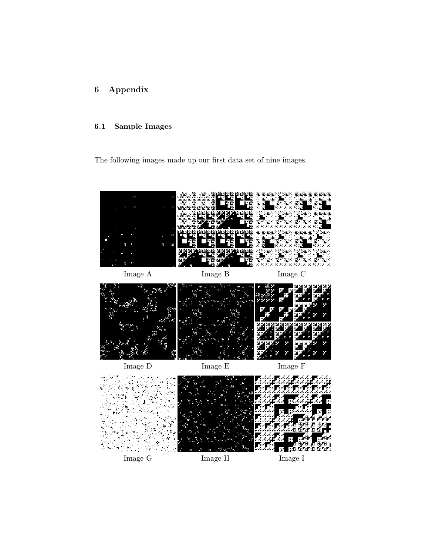# 6 Appendix

# 6.1 Sample Images

The following images made up our first data set of nine images.

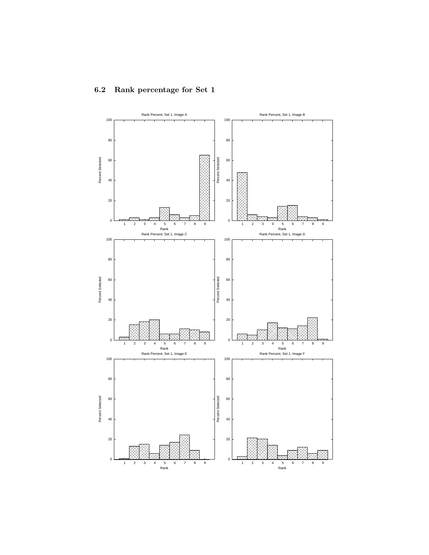

# 6.2 Rank percentage for Set 1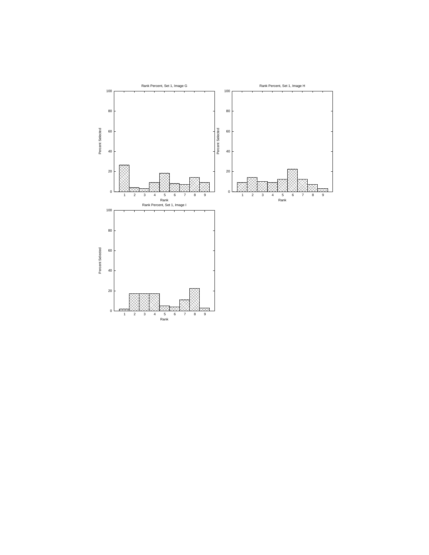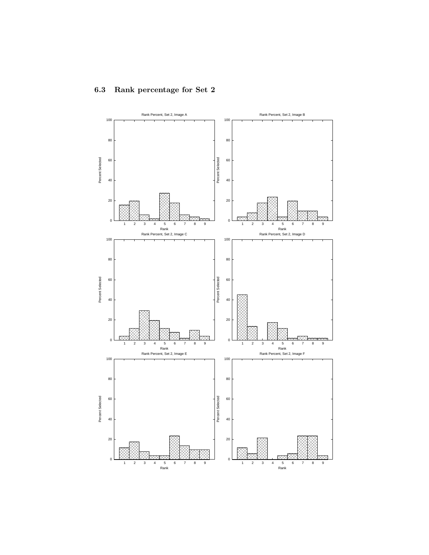

# 6.3 Rank percentage for Set 2